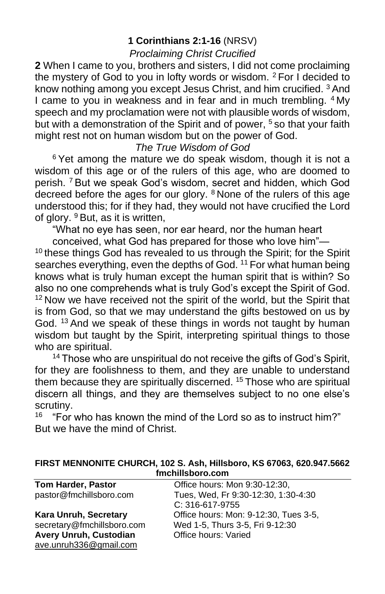#### **1 Corinthians 2:1-16** (NRSV)

#### *Proclaiming Christ Crucified*

**2** When I came to you, brothers and sisters, I did not come proclaiming the mystery of God to you in lofty words or wisdom. <sup>2</sup> For I decided to know nothing among you except Jesus Christ, and him crucified. <sup>3</sup> And I came to you in weakness and in fear and in much trembling. <sup>4</sup> My speech and my proclamation were not with plausible words of wisdom, but with a demonstration of the Spirit and of power, <sup>5</sup> so that your faith might rest not on human wisdom but on the power of God.

#### *The True Wisdom of God*

 $6$  Yet among the mature we do speak wisdom, though it is not a wisdom of this age or of the rulers of this age, who are doomed to perish. <sup>7</sup> But we speak God's wisdom, secret and hidden, which God decreed before the ages for our glory. <sup>8</sup> None of the rulers of this age understood this; for if they had, they would not have crucified the Lord of glory. <sup>9</sup> But, as it is written,

"What no eye has seen, nor ear heard, nor the human heart

conceived, what God has prepared for those who love him"—  $10$  these things God has revealed to us through the Spirit; for the Spirit searches everything, even the depths of God.<sup>11</sup> For what human being knows what is truly human except the human spirit that is within? So also no one comprehends what is truly God's except the Spirit of God. <sup>12</sup> Now we have received not the spirit of the world, but the Spirit that is from God, so that we may understand the gifts bestowed on us by God. <sup>13</sup> And we speak of these things in words not taught by human wisdom but taught by the Spirit, interpreting spiritual things to those who are spiritual.

<sup>14</sup> Those who are unspiritual do not receive the gifts of God's Spirit, for they are foolishness to them, and they are unable to understand them because they are spiritually discerned. <sup>15</sup> Those who are spiritual discern all things, and they are themselves subject to no one else's scrutiny.

"For who has known the mind of the Lord so as to instruct him?" But we have the mind of Christ.

| FIRST MENNONITE CHURCH, 102 S. Ash, Hillsboro, KS 67063, 620.947.5662 |  |  |  |  |  |  |  |
|-----------------------------------------------------------------------|--|--|--|--|--|--|--|
| fmchillsboro.com                                                      |  |  |  |  |  |  |  |

| <b>Tom Harder, Pastor</b>     | Office hours: Mon 9:30-12:30,         |
|-------------------------------|---------------------------------------|
| pastor@fmchillsboro.com       | Tues, Wed, Fr 9:30-12:30, 1:30-4:30   |
|                               | C: 316-617-9755                       |
| Kara Unruh, Secretary         | Office hours: Mon: 9-12:30, Tues 3-5, |
| secretary@fmchillsboro.com    | Wed 1-5, Thurs 3-5, Fri 9-12:30       |
| <b>Avery Unruh, Custodian</b> | Office hours: Varied                  |
| ave.unruh336@gmail.com        |                                       |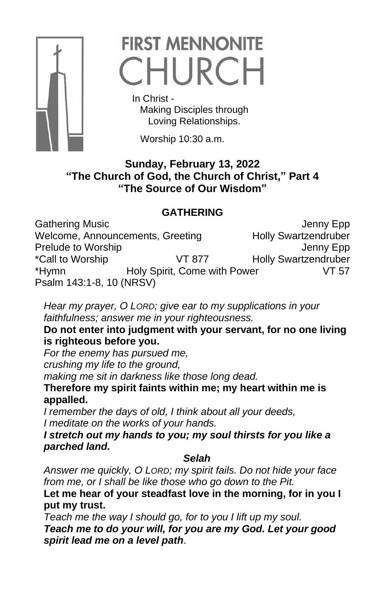

# **FIRST MENNONITE** CHURCH

 In Christ - Making Disciples through Loving Relationships.

Worship 10:30 a.m.

## **Sunday, February 13, 2022 "The Church of God, the Church of Christ," Part 4 "The Source of Our Wisdom"**

## **GATHERING**

Gathering Music<br>Welcome, Announcements, Greeting Fully Swartzendruber Welcome, Announcements, Greeting Prelude to Worship **Access 19 and 19 and 19 and 19 and 19 and 19 and 19 and 19 and 19 and 19 and 19 and 19 and 19 and 19 and 19 and 19 and 19 and 19 and 19 and 19 and 19 and 19 and 19 and 19 and 19 and 19 and 19 and 19 and** \*Call to Worship VT 877 Holly Swartzendruber \*Hymn Holy Spirit, Come with Power VT 57 Psalm 143:1-8, 10 (NRSV)

*Hear my prayer, O LORD; give ear to my supplications in your faithfulness; answer me in your righteousness.* 

## **Do not enter into judgment with your servant, for no one living is righteous before you.**

*For the enemy has pursued me,* 

*crushing my life to the ground,* 

*making me sit in darkness like those long dead.* 

**Therefore my spirit faints within me; my heart within me is appalled.** 

*I remember the days of old, I think about all your deeds, I meditate on the works of your hands.* 

*I stretch out my hands to you; my soul thirsts for you like a parched land.*

## *Selah*

*Answer me quickly, O LORD; my spirit fails. Do not hide your face from me, or I shall be like those who go down to the Pit.* 

**Let me hear of your steadfast love in the morning, for in you I put my trust.** 

*Teach me the way I should go, for to you I lift up my soul. Teach me to do your will, for you are my God. Let your good spirit lead me on a level path*.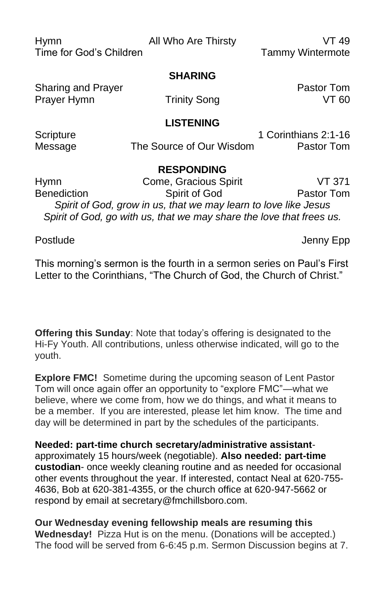| <b>Hymn</b><br>Time for God's Children   | All Who Are Thirsty                                                  | VT 49<br><b>Tammy Wintermote</b>   |  |  |  |  |
|------------------------------------------|----------------------------------------------------------------------|------------------------------------|--|--|--|--|
|                                          | <b>SHARING</b>                                                       |                                    |  |  |  |  |
| <b>Sharing and Prayer</b><br>Prayer Hymn | <b>Trinity Song</b>                                                  | Pastor Tom<br>VT 60                |  |  |  |  |
| <b>LISTENING</b>                         |                                                                      |                                    |  |  |  |  |
| Scripture<br>Message                     | The Source of Our Wisdom                                             | 1 Corinthians 2:1-16<br>Pastor Tom |  |  |  |  |
| <b>RESPONDING</b>                        |                                                                      |                                    |  |  |  |  |
| <b>Hymn</b>                              | Come, Gracious Spirit                                                | VT 371                             |  |  |  |  |
| <b>Benediction</b>                       | Spirit of God                                                        | Pastor Tom                         |  |  |  |  |
|                                          | Spirit of God, grow in us, that we may learn to love like Jesus      |                                    |  |  |  |  |
|                                          | Spirit of God, go with us, that we may share the love that frees us. |                                    |  |  |  |  |

Postlude **Contains a Container Container Container Container Container Container Container Container Container** 

This morning's sermon is the fourth in a sermon series on Paul's First Letter to the Corinthians, "The Church of God, the Church of Christ."

**Offering this Sunday**: Note that today's offering is designated to the Hi-Fy Youth. All contributions, unless otherwise indicated, will go to the youth.

**Explore FMC!** Sometime during the upcoming season of Lent Pastor Tom will once again offer an opportunity to "explore FMC"—what we believe, where we come from, how we do things, and what it means to be a member. If you are interested, please let him know. The time and day will be determined in part by the schedules of the participants.

**Needed: part-time church secretary/administrative assistant**approximately 15 hours/week (negotiable). **Also needed: part-time custodian**- once weekly cleaning routine and as needed for occasional other events throughout the year. If interested, contact Neal at 620-755- 4636, Bob at 620-381-4355, or the church office at 620-947-5662 or respond by email at secretary@fmchillsboro.com.

**Our Wednesday evening fellowship meals are resuming this Wednesday!** Pizza Hut is on the menu. (Donations will be accepted.) The food will be served from 6-6:45 p.m. Sermon Discussion begins at 7.